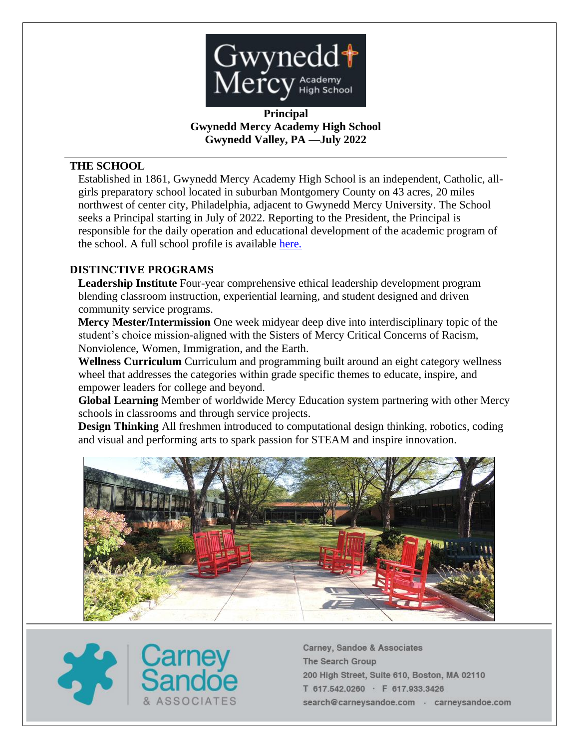

**Principal Gwynedd Mercy Academy High School Gwynedd Valley, PA —July 2022**

# **THE SCHOOL**

Established in 1861, Gwynedd Mercy Academy High School is an independent, Catholic, allgirls preparatory school located in suburban Montgomery County on 43 acres, 20 miles northwest of center city, Philadelphia, adjacent to Gwynedd Mercy University. The School seeks a Principal starting in July of 2022. Reporting to the President, the Principal is responsible for the daily operation and educational development of the academic program of the school. A full school profile is available [here.](https://resources.finalsite.net/images/v1638901230/gwyneddmercyhs/yjeqtien717veftebzfk/GMAProfile_21-22_1st.pdf)

### **DISTINCTIVE PROGRAMS**

**Leadership Institute** Four-year comprehensive ethical leadership development program blending classroom instruction, experiential learning, and student designed and driven community service programs.

**Mercy Mester/Intermission** One week midyear deep dive into interdisciplinary topic of the student's choice mission-aligned with the Sisters of Mercy Critical Concerns of Racism, Nonviolence, Women, Immigration, and the Earth.

**Wellness Curriculum** Curriculum and programming built around an eight category wellness wheel that addresses the categories within grade specific themes to educate, inspire, and empower leaders for college and beyond.

**Global Learning** Member of worldwide Mercy Education system partnering with other Mercy schools in classrooms and through service projects.

**Design Thinking** All freshmen introduced to computational design thinking, robotics, coding and visual and performing arts to spark passion for STEAM and inspire innovation.



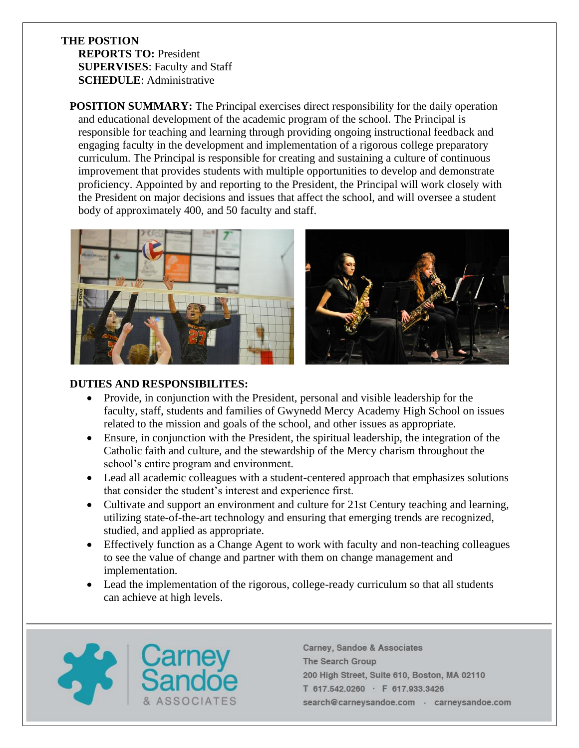### **THE POSTION REPORTS TO:** President **SUPERVISES**: Faculty and Staff **SCHEDULE**: Administrative

**POSITION SUMMARY:** The Principal exercises direct responsibility for the daily operation and educational development of the academic program of the school. The Principal is responsible for teaching and learning through providing ongoing instructional feedback and engaging faculty in the development and implementation of a rigorous college preparatory curriculum. The Principal is responsible for creating and sustaining a culture of continuous improvement that provides students with multiple opportunities to develop and demonstrate proficiency. Appointed by and reporting to the President, the Principal will work closely with the President on major decisions and issues that affect the school, and will oversee a student body of approximately 400, and 50 faculty and staff.



# **DUTIES AND RESPONSIBILITES:**

- Provide, in conjunction with the President, personal and visible leadership for the faculty, staff, students and families of Gwynedd Mercy Academy High School on issues related to the mission and goals of the school, and other issues as appropriate.
- Ensure, in conjunction with the President, the spiritual leadership, the integration of the Catholic faith and culture, and the stewardship of the Mercy charism throughout the school's entire program and environment.
- Lead all academic colleagues with a student-centered approach that emphasizes solutions that consider the student's interest and experience first.
- Cultivate and support an environment and culture for 21st Century teaching and learning, utilizing state-of-the-art technology and ensuring that emerging trends are recognized, studied, and applied as appropriate.
- Effectively function as a Change Agent to work with faculty and non-teaching colleagues to see the value of change and partner with them on change management and implementation.
- Lead the implementation of the rigorous, college-ready curriculum so that all students can achieve at high levels.

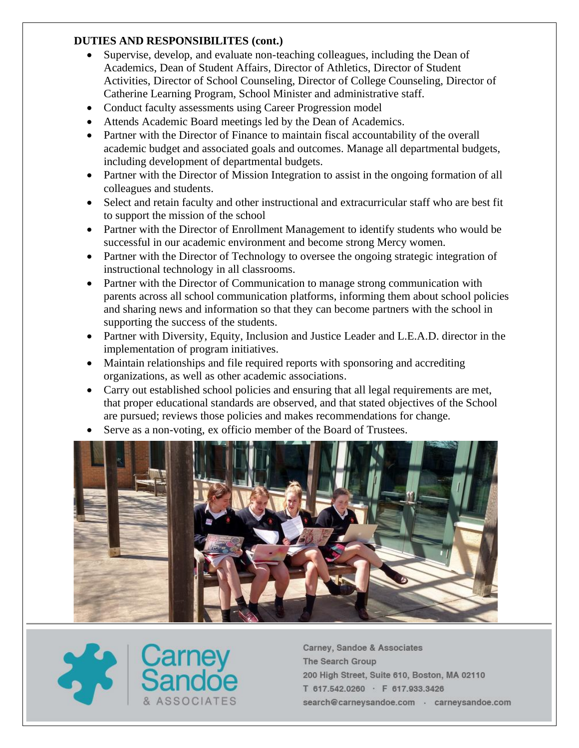# **DUTIES AND RESPONSIBILITES (cont.)**

- Supervise, develop, and evaluate non-teaching colleagues, including the Dean of Academics, Dean of Student Affairs, Director of Athletics, Director of Student Activities, Director of School Counseling, Director of College Counseling, Director of Catherine Learning Program, School Minister and administrative staff.
- Conduct faculty assessments using Career Progression model
- Attends Academic Board meetings led by the Dean of Academics.
- Partner with the Director of Finance to maintain fiscal accountability of the overall academic budget and associated goals and outcomes. Manage all departmental budgets, including development of departmental budgets.
- Partner with the Director of Mission Integration to assist in the ongoing formation of all colleagues and students.
- Select and retain faculty and other instructional and extracurricular staff who are best fit to support the mission of the school
- Partner with the Director of Enrollment Management to identify students who would be successful in our academic environment and become strong Mercy women.
- Partner with the Director of Technology to oversee the ongoing strategic integration of instructional technology in all classrooms.
- Partner with the Director of Communication to manage strong communication with parents across all school communication platforms, informing them about school policies and sharing news and information so that they can become partners with the school in supporting the success of the students.
- Partner with Diversity, Equity, Inclusion and Justice Leader and L.E.A.D. director in the implementation of program initiatives.
- Maintain relationships and file required reports with sponsoring and accrediting organizations, as well as other academic associations.
- Carry out established school policies and ensuring that all legal requirements are met, that proper educational standards are observed, and that stated objectives of the School are pursued; reviews those policies and makes recommendations for change.
- Serve as a non-voting, ex officio member of the Board of Trustees.